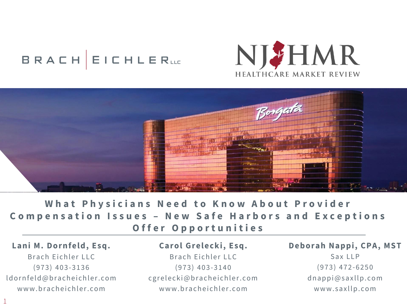# BRACH EICHLERLLE





**What Physicians Need to Know About Provider Compensation Issues - New Safe Harbors and Exceptions Offer Opportunities** 

**Lani M. Dornfeld, Esq.** Brach Eichler LLC ( 9 7 3 ) 4 0 3-3136 ld orn feld @ bracheichler.com www.bracheichler.com

1

Carol Grelecki, Esq. Brach Eichler LLC ( 9 7 3 ) 4 0 3-3140 c g r e l e c k i @ b r a c h e i c h l e r . c o m www.bracheichler.com

**Deborah Nappi, CPA, MST**

Sax LLP ( 9 7 3 ) 4 7 2-6250  $d$  n a p p i @ s a x l l p . c o m www.saxllp.com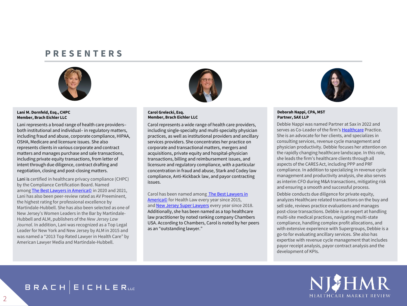#### **P R E S E N T E R S**



#### **Lani M. Dornfeld, Esq., CHPC Member, Brach Eichler LLC**

Lani represents a broad range of health care providers– both institutional and individual– in regulatory matters, including fraud and abuse, corporate compliance, HIPAA, OSHA, Medicare and licensure issues. She also represents clients in various corporate and contract matters and manages purchase and sale transactions, including private equity transactions, from letter of intent through due diligence, contract drafting and negotiation, closing and post-closing matters.

Lani is certified in healthcare privacy compliance (CHPC) by the Compliance Certification Board. Named among [The Best Lawyers in America©](https://www.bracheichler.com/honors-and-awards/) in 2020 and 2021, Lani has also been peer-review rated as AV Preeminent, the highest rating for professional excellence by Martindale-Hubbell. She has also been selected as one of New Jersey's Women Leaders in the Bar by Martindale-Hubbell and ALM, publishers of the *New Jersey Law Journal*. In addition, Lani was recognized as a Top Legal Leader for New York and New Jersey by ALM in 2015 and was named a "2013 Top Rated Lawyer in Health Care" by American Lawyer Media and Martindale-Hubbell.



#### **Carol Grelecki, Esq. Member, Brach Eichler LLC**

Carol represents a wide range of health care providers, including single-specialty and multi-specialty physician practices, as well as institutional providers and ancillary services providers. She concentrates her practice on corporate and transactional matters, mergers and acquisitions, private equity and hospital-physician transactions, billing and reimbursement issues, and licensure and regulatory compliance, with a particular concentration in fraud and abuse, Stark and Codey law compliance, Anti-Kickback law, and payor contracting issues.

[Carol has been named among The Best Lawyers in](https://www.bracheichler.com/honors-and-awards/)  America© for Health Law every year since 2015, and [New Jersey Super Lawyers](https://www.bracheichler.com/honors-and-awards/) every year since 2018. Additionally, she has been named as a top healthcare law practitioner by noted ranking company Chambers USA. According to Chambers, Carol is noted by her peers as an "outstanding lawyer."



#### **Deborah Nappi, CPA, MST Partner, SAX LLP**

Debbie Nappi was named Partner at Sax in 2022 and serves as Co-Leader of the firm's [Healthcare](https://protect-us.mimecast.com/s/Cbw2C82o0YU6j7qEcn1c3W?domain=saxllp.com/) Practice. She is an advocate for her clients, and specializes in consulting services, revenue cycle management and physician productivity. Debbie focuses her attention on the rapidly changing healthcare landscape. In this role, she leads the firm's healthcare clients through all aspects of the CARES Act, including PPP and PRF compliance. In addition to specializing in revenue cycle management and productivity analysis, she also serves as interim CFO during M&A transactions, mitigating risk and ensuring a smooth and successful process.

Debbie conducts due diligence for private equity, analyzes Healthcare related transactions on the buy and sell side, reviews practice evaluations and manages post-close transactions. Debbie is an expert at handling multi-site medical practices, navigating multi-state compliance, handling complex profit allocations, and with extensive experience with Supergroups, Debbie is a go-to for evaluating ancillary services. She also has expertise with revenue cycle management that includes payor receipt analysis, payor contract analysis and the development of KPIs.



### **BRACH EICHLERLLE**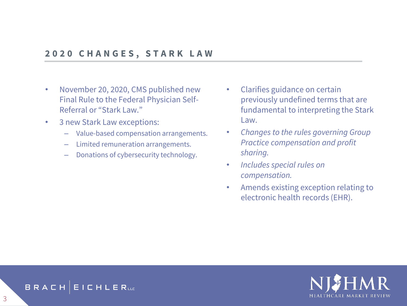#### **2 0 2 0 C H A N G E S , S T A R K L A W**

- November 20, 2020, CMS published new Final Rule to the Federal Physician Self-Referral or "Stark Law."
- 3 new Stark Law exceptions:
	- Value-based compensation arrangements.
	- Limited remuneration arrangements.
	- Donations of cybersecurity technology.
- Clarifies guidance on certain previously undefined terms that are fundamental to interpreting the Stark Law.
- *Changes to the rules governing Group Practice compensation and profit sharing.*
- *Includes special rules on compensation.*
- Amends existing exception relating to electronic health records (EHR).



#### BRACH **EICHLER**ue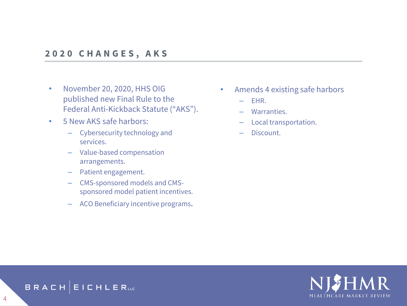#### **2 0 2 0 C H A N G E S , A K S**

- November 20, 2020, HHS OIG published new Final Rule to the Federal Anti-Kickback Statute ("AKS").
- 5 New AKS safe harbors:
	- Cybersecurity technology and services.
	- Value-based compensation arrangements.
	- Patient engagement.
	- CMS-sponsored models and CMSsponsored model patient incentives.
	- ACO Beneficiary incentive programs.
- Amends 4 existing safe harbors
	- EHR.
	- Warranties.
	- Local transportation.
	- Discount.



#### BRACH EICHLERLE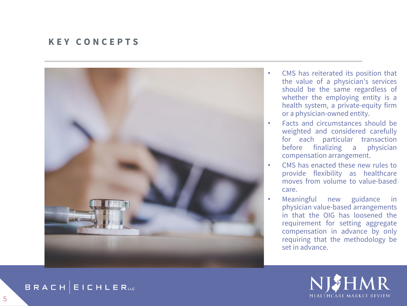#### **K E Y C O N C E P T S**



- CMS has reiterated its position that the value of a physician's services should be the same regardless of whether the employing entity is a health system, a private -equity firm or a physician -owned entity .
- Facts and circumstances should be weighted and considered carefully for each particular transaction before finalizing a physician compensation arrangement .
- CMS has enacted these new rules to provide flexibility as healthcare moves from volume to value -based care .
- Meaningful new guidance in physician value -based arrangements in that the OIG has loosened the requirement for setting aggregate compensation in advance by only requiring that the methodology be set in advance .



**BRACH EICHLERLL**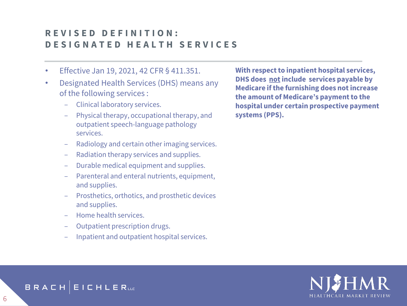### **R E V I S E D D E F I N I T I O N : D E S I G N A T E D H E A L T H S E R V I C E S**

- Effective Jan 19, 2021, 42 CFR § 411.351.
- Designated Health Services (DHS) means any of the following services :
	- ‒ Clinical laboratory services.
	- ‒ Physical therapy, occupational therapy, and outpatient speech-language pathology services.
	- ‒ Radiology and certain other imaging services.
	- ‒ Radiation therapy services and supplies.
	- ‒ Durable medical equipment and supplies.
	- ‒ Parenteral and enteral nutrients, equipment, and supplies.
	- ‒ Prosthetics, orthotics, and prosthetic devices and supplies.
	- ‒ Home health services.
	- ‒ Outpatient prescription drugs.
	- ‒ Inpatient and outpatient hospital services.

**With respect to inpatient hospital services, DHS does notinclude services payable by Medicare if the furnishing does not increase the amount of Medicare's payment to the hospital under certain prospective payment systems (PPS).**



BRACH **EICHLER**ue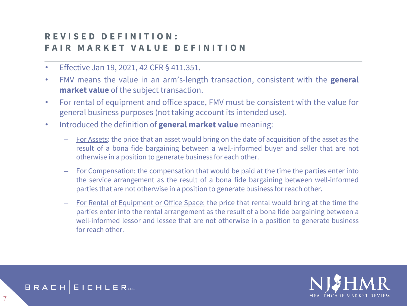# **R E V I S E D D E F I N I T I O N : F A I R M A R K E T V A L U E D E F I N I T I O N**

- Effective Jan 19, 2021, 42 CFR § 411.351.
- FMV means the value in an arm's-length transaction, consistent with the **general market value** of the subject transaction.
- For rental of equipment and office space, FMV must be consistent with the value for general business purposes (not taking account its intended use).
- Introduced the definition of **general market value** meaning:
	- For Assets: the price that an asset would bring on the date of acquisition of the asset as the result of a bona fide bargaining between a well-informed buyer and seller that are not otherwise in a position to generate business for each other.
	- For Compensation: the compensation that would be paid at the time the parties enter into the service arrangement as the result of a bona fide bargaining between well-informed parties that are not otherwise in a position to generate business for reach other.
	- For Rental of Equipment or Office Space: the price that rental would bring at the time the parties enter into the rental arrangement as the result of a bona fide bargaining between a well-informed lessor and lessee that are not otherwise in a position to generate business for reach other.



BRACH **EICHLER**ue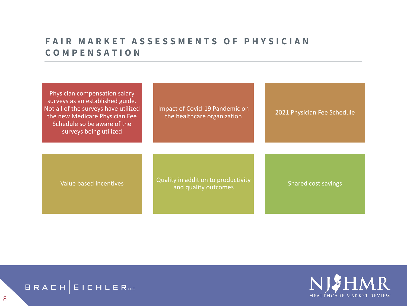# **FAIR MARKET ASSESSMENTS OF PHYSICIAN C O M P E N S A T I O N**

| Physician compensation salary<br>surveys as an established guide.<br>Not all of the surveys have utilized<br>the new Medicare Physician Fee<br>Schedule so be aware of the<br>surveys being utilized | Impact of Covid-19 Pandemic on<br>the healthcare organization | 2021 Physician Fee Schedule |
|------------------------------------------------------------------------------------------------------------------------------------------------------------------------------------------------------|---------------------------------------------------------------|-----------------------------|
| Value based incentives                                                                                                                                                                               | Quality in addition to productivity<br>and quality outcomes   | <b>Shared cost savings</b>  |



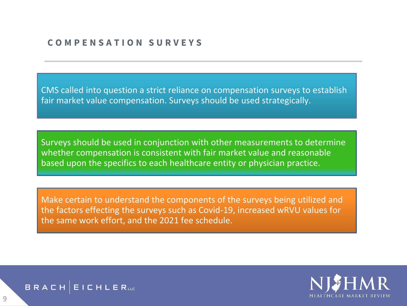#### **C O M P E N S A T I O N S U R V E Y S**

CMS called into question a strict reliance on compensation surveys to establish fair market value compensation. Surveys should be used strategically.

The an increase we mean to determine Surveys should be used in conjunction with other measurements to determine whether compensation is consistent with fair market value and reasonable based upon the specifics to each healthcare entity or physician practice.

Make certain to understand the components of the surveys being utilized and the factors effecting the surveys such as Covid-19, increased wRVU values for the same work effort, and the 2021 fee schedule.



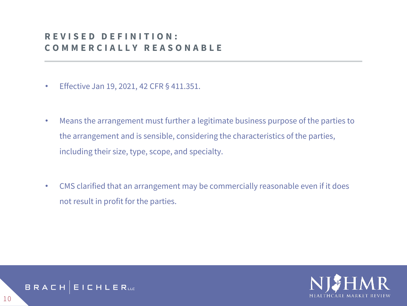### **R E V I S E D D E F I N I T I O N : C O M M E R C I A L L Y R E A S O N A B L E**

- Effective Jan 19, 2021, 42 CFR § 411.351.
- Means the arrangement must further a legitimate business purpose of the parties to the arrangement and is sensible, considering the characteristics of the parties, including their size, type, scope, and specialty.
- CMS clarified that an arrangement may be commercially reasonable even if it does not result in profit for the parties.



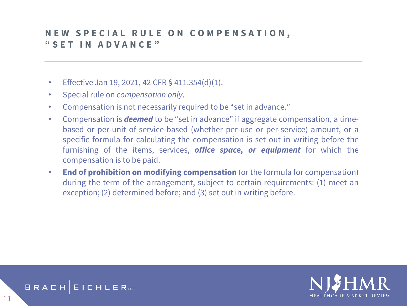### **NEW SPECIAL RULE ON COMPENSATION, " S E T I N A D V A N C E "**

- Effective Jan 19, 2021, 42 CFR  $\S$  411.354(d)(1).
- Special rule on *compensation only*.
- Compensation is not necessarily required to be "set in advance."
- Compensation is *deemed* to be "set in advance" if aggregate compensation, a timebased or per-unit of service-based (whether per-use or per-service) amount, or a specific formula for calculating the compensation is set out in writing before the furnishing of the items, services, *office space, or equipment* for which the compensation is to be paid.
- **End of prohibition on modifying compensation** (or the formula for compensation) during the term of the arrangement, subject to certain requirements: (1) meet an exception; (2) determined before; and (3) set out in writing before.



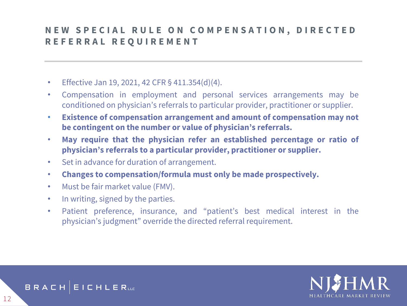# **NEW SPECIAL RULE ON COMPENSATION, DIRECTED R E F E R R A L R E Q U I R E M E N T**

- Effective Jan 19, 2021, 42 CFR  $\S$  411.354(d)(4).
- Compensation in employment and personal services arrangements may be conditioned on physician's referrals to particular provider, practitioner or supplier.
- **Existence of compensation arrangement and amount of compensation may not be contingent on the number or value of physician's referrals.**
- **May require that the physician refer an established percentage or ratio of physician's referrals to a particular provider, practitioner or supplier.**
- Set in advance for duration of arrangement.
- **Changes to compensation/formula must only be made prospectively.**
- Must be fair market value (FMV).
- In writing, signed by the parties.
- Patient preference, insurance, and "patient's best medical interest in the physician's judgment" override the directed referral requirement.



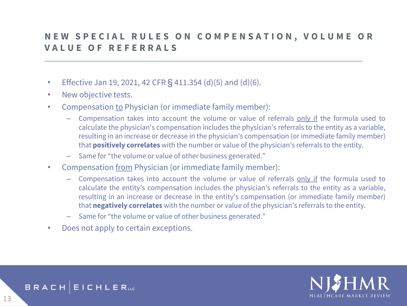### **NEW SPECIAL RULES ON COMPENSATION, VOLUME OR V A L U E O F R E F E R R A L S**

- Effective Jan 19, 2021, 42 CFR  $\frac{6}{5}$  411.354 (d)(5) and (d)(6).
- New objective tests.
- Compensation to Physician (or immediate family member):
	- Compensation takes into account the volume or value of referrals only if the formula used to calculate the physician's compensation includes the physician's referrals to the entity as a variable, resulting in an increase or decrease in the physician's compensation (or immediate family member) that **positively correlates** with the number or value of the physician's referrals to the entity.
	- Same for "the volume or value of other business generated."
- Compensation from Physician (or immediate family member):
	- Compensation takes into account the volume or value of referrals only if the formula used to calculate the entity's compensation includes the physician's referrals to the entity as a variable, resulting in an increase or decrease in the entity's compensation (or immediate family member) that **negatively correlates** with the number or value of the physician's referrals to the entity.
	- Same for "the volume or value of other business generated."
- Does not apply to certain exceptions.



#### BRACH **EICHLER**uc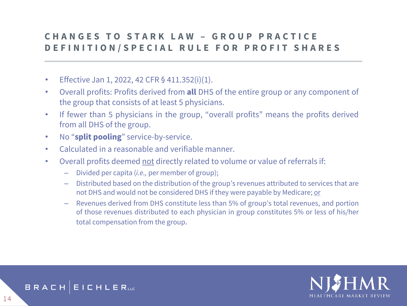### **C H A N G E S T O S T A R K L A W – G R O U P P R A C T I C E DEFINITION/SPECIAL RULE FOR PROFIT SHARES**

- Effective Jan 1, 2022, 42 CFR  $\S$  411.352(i)(1).
- Overall profits: Profits derived from **all** DHS of the entire group or any component of the group that consists of at least 5 physicians.
- If fewer than 5 physicians in the group, "overall profits" means the profits derived from all DHS of the group.
- No "**split pooling**" service-by-service.
- Calculated in a reasonable and verifiable manner.
- Overall profits deemed not directly related to volume or value of referrals if:
	- Divided per capita (*i.e.,* per member of group);
	- Distributed based on the distribution of the group's revenues attributed to services that are not DHS and would not be considered DHS if they were payable by Medicare; or
	- Revenues derived from DHS constitute less than 5% of group's total revenues, and portion of those revenues distributed to each physician in group constitutes 5% or less of his/her total compensation from the group.



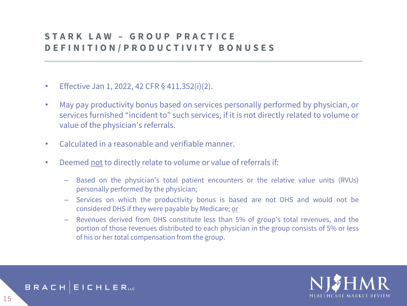# **S T A R K L A W – G R O U P P R A C T I C E D E F I N I T I O N / P R O D U C T I V I T Y B O N U S E S**

- Effective Jan 1, 2022, 42 CFR § 411.352(i)(2).
- May pay productivity bonus based on services personally performed by physician, or services furnished "incident to" such services, if it is not directly related to volume or value of the physician's referrals.
- Calculated in a reasonable and verifiable manner.
- Deemed not to directly relate to volume or value of referrals if:
	- Based on the physician's total patient encounters or the relative value units (RVUs) personally performed by the physician;
	- Services on which the productivity bonus is based are not DHS and would not be considered DHS if they were payable by Medicare; or
	- Revenues derived from DHS constitute less than 5% of group's total revenues, and the portion of those revenues distributed to each physician in the group consists of 5% or less of his or her total compensation from the group.



BRACH **EICHLERLLE**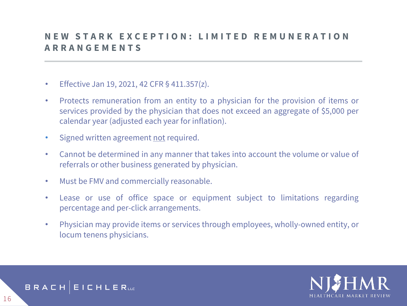### **N E W S T A R K E X C E P T I O N : L I M I T E D R E M U N E R A T I O N A R R A N G E M E N T S**

- Effective Jan 19, 2021, 42 CFR § 411.357(z).
- Protects remuneration from an entity to a physician for the provision of items or services provided by the physician that does not exceed an aggregate of \$5,000 per calendar year (adjusted each year for inflation).
- Signed written agreement not required.
- Cannot be determined in any manner that takes into account the volume or value of referrals or other business generated by physician.
- Must be FMV and commercially reasonable.
- Lease or use of office space or equipment subject to limitations regarding percentage and per-click arrangements.
- Physician may provide items or services through employees, wholly-owned entity, or locum tenens physicians.



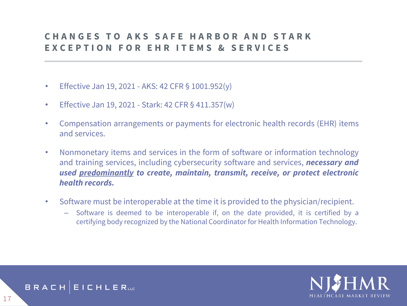# **C H A N G E S T O A K S S A F E H A R B O R A N D S T A R K E X C E P T I O N F O R E H R I T E M S & S E R V I C E S**

- Effective Jan 19, 2021 AKS: 42 CFR § 1001.952(y)
- Effective Jan 19, 2021 Stark: 42 CFR § 411.357(w)
- Compensation arrangements or payments for electronic health records (EHR) items and services.
- Nonmonetary items and services in the form of software or information technology and training services, including cybersecurity software and services, *necessary and used predominantly to create, maintain, transmit, receive, or protect electronic health records.*
- Software must be interoperable at the time it is provided to the physician/recipient.
	- Software is deemed to be interoperable if, on the date provided, it is certified by a certifying body recognized by the National Coordinator for Health Information Technology.



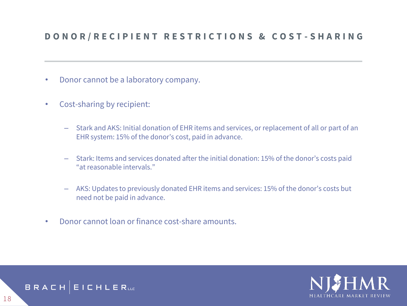#### **D O N O R / R E C I P I E N T R E S T R I C T I O N S & C O S T - S H A R I N G**

- Donor cannot be a laboratory company.
- Cost-sharing by recipient:
	- Stark and AKS: Initial donation of EHR items and services, or replacement of all or part of an EHR system: 15% of the donor's cost, paid in advance.
	- Stark: Items and services donated after the initial donation: 15% of the donor's costs paid "at reasonable intervals."
	- AKS: Updates to previously donated EHR items and services: 15% of the donor's costs but need not be paid in advance.
- Donor cannot loan or finance cost-share amounts.



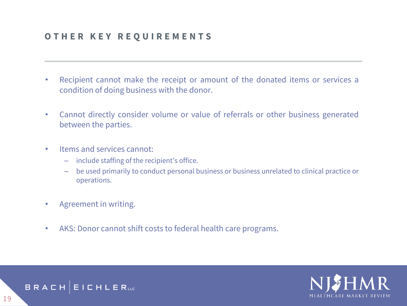#### **O T H E R K E Y R E Q U I R E M E N T S**

- Recipient cannot make the receipt or amount of the donated items or services a condition of doing business with the donor.
- Cannot directly consider volume or value of referrals or other business generated between the parties.
- Items and services cannot:
	- include staffing of the recipient's office.
	- be used primarily to conduct personal business or business unrelated to clinical practice or operations.
- Agreement in writing.
- AKS: Donor cannot shift costs to federal health care programs.



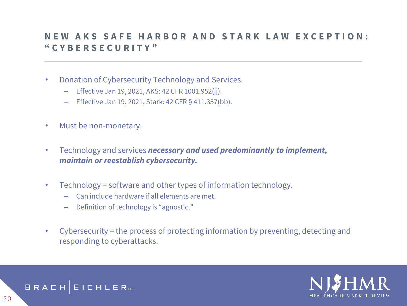### **N E W A K S S A F E H A R B O R A N D S T A R K L A W E X C E P T I O N : " C Y B E R S E C U R I T Y "**

- Donation of Cybersecurity Technology and Services.
	- Effective Jan 19, 2021, AKS: 42 CFR 1001.952(jj).
	- Effective Jan 19, 2021, Stark: 42 CFR § 411.357(bb).
- Must be non-monetary.
- Technology and services *necessary and used predominantly to implement, maintain or reestablish cybersecurity.*
- Technology = software and other types of information technology.
	- Can include hardware if all elements are met.
	- Definition of technology is "agnostic."
- Cybersecurity = the process of protecting information by preventing, detecting and responding to cyberattacks.



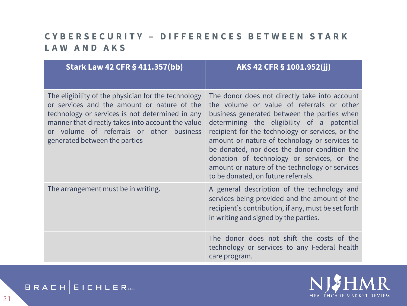# **C Y B E R S E C U R I T Y – D I F F E R E N C E S B E T W E E N S T A R K L A W A N D A K S**

| <b>Stark Law 42 CFR § 411.357(bb)</b>                                                                                                                                                                                                                                                   | AKS 42 CFR § 1001.952(jj)                                                                                                                                                                                                                                                                                                                                                                                                                                                           |
|-----------------------------------------------------------------------------------------------------------------------------------------------------------------------------------------------------------------------------------------------------------------------------------------|-------------------------------------------------------------------------------------------------------------------------------------------------------------------------------------------------------------------------------------------------------------------------------------------------------------------------------------------------------------------------------------------------------------------------------------------------------------------------------------|
| The eligibility of the physician for the technology<br>or services and the amount or nature of the<br>technology or services is not determined in any<br>manner that directly takes into account the value<br>or volume of referrals or other business<br>generated between the parties | The donor does not directly take into account<br>the volume or value of referrals or other<br>business generated between the parties when<br>determining the eligibility of a potential<br>recipient for the technology or services, or the<br>amount or nature of technology or services to<br>be donated, nor does the donor condition the<br>donation of technology or services, or the<br>amount or nature of the technology or services<br>to be donated, on future referrals. |
| The arrangement must be in writing.                                                                                                                                                                                                                                                     | A general description of the technology and<br>services being provided and the amount of the<br>recipient's contribution, if any, must be set forth<br>in writing and signed by the parties.                                                                                                                                                                                                                                                                                        |
|                                                                                                                                                                                                                                                                                         | The donor does not shift the costs of the<br>technology or services to any Federal health<br>care program.                                                                                                                                                                                                                                                                                                                                                                          |



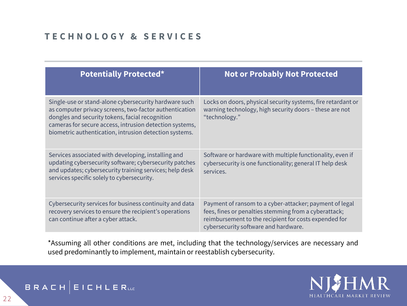# **T E C H N O L O G Y & S E R V I C E S**

| <b>Potentially Protected*</b>                                                                                                                                                                                                                                                           | <b>Not or Probably Not Protected</b>                                                                                                                                                                              |  |
|-----------------------------------------------------------------------------------------------------------------------------------------------------------------------------------------------------------------------------------------------------------------------------------------|-------------------------------------------------------------------------------------------------------------------------------------------------------------------------------------------------------------------|--|
| Single-use or stand-alone cybersecurity hardware such<br>as computer privacy screens, two-factor authentication<br>dongles and security tokens, facial recognition<br>cameras for secure access, intrusion detection systems,<br>biometric authentication, intrusion detection systems. | Locks on doors, physical security systems, fire retardant or<br>warning technology, high security doors - these are not<br>"technology."                                                                          |  |
| Services associated with developing, installing and<br>updating cybersecurity software; cybersecurity patches<br>and updates; cybersecurity training services; help desk<br>services specific solely to cybersecurity.                                                                  | Software or hardware with multiple functionality, even if<br>cybersecurity is one functionality; general IT help desk<br>services.                                                                                |  |
| Cybersecurity services for business continuity and data<br>recovery services to ensure the recipient's operations<br>can continue after a cyber attack.                                                                                                                                 | Payment of ransom to a cyber-attacker; payment of legal<br>fees, fines or penalties stemming from a cyberattack;<br>reimbursement to the recipient for costs expended for<br>cybersecurity software and hardware. |  |

\*Assuming all other conditions are met, including that the technology/services are necessary and used predominantly to implement, maintain or reestablish cybersecurity.



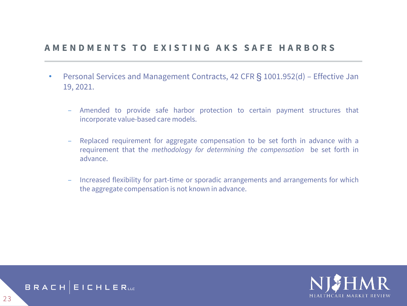#### **A M E N D M E N T S T O E X I S T I N G A K S S A F E H A R B O R S**

- Personal Services and Management Contracts, 42 CFR § 1001.952(d) Effective Jan 19, 2021.
	- ‒ Amended to provide safe harbor protection to certain payment structures that incorporate value-based care models.
	- ‒ Replaced requirement for aggregate compensation to be set forth in advance with a requirement that the *methodology for determining the compensation* be set forth in advance.
	- ‒ Increased flexibility for part-time or sporadic arrangements and arrangements for which the aggregate compensation is not known in advance.



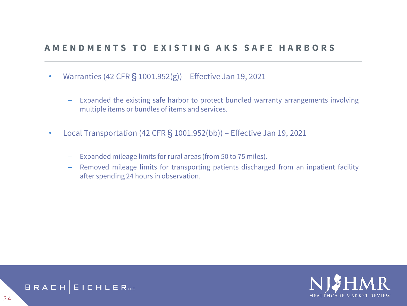#### **A M E N D M E N T S T O E X I S T I N G A K S S A F E H A R B O R S**

- Warranties (42 CFR  $\S$  1001.952(g)) Effective Jan 19, 2021
	- Expanded the existing safe harbor to protect bundled warranty arrangements involving multiple items or bundles of items and services.
- Local Transportation (42 CFR § 1001.952(bb)) Effective Jan 19, 2021
	- Expanded mileage limits for rural areas (from 50 to 75 miles).
	- Removed mileage limits for transporting patients discharged from an inpatient facility after spending 24 hours in observation.



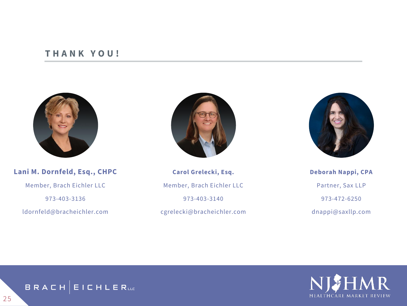#### **T H A N K Y O U !**



#### **Lani M. Dornfeld, Esq., CHPC**

Member, Brach Eichler LLC

973-403-3136

ldornfeld@bracheichler.com



**Carol Grelecki, Esq.** Member, Brach Eichler LLC 973-403-3140 cgrelecki@bracheichler.com



**Deborah Nappi, CPA** Partner, Sax LLP 973-472-6250 dnappi@saxllp.com